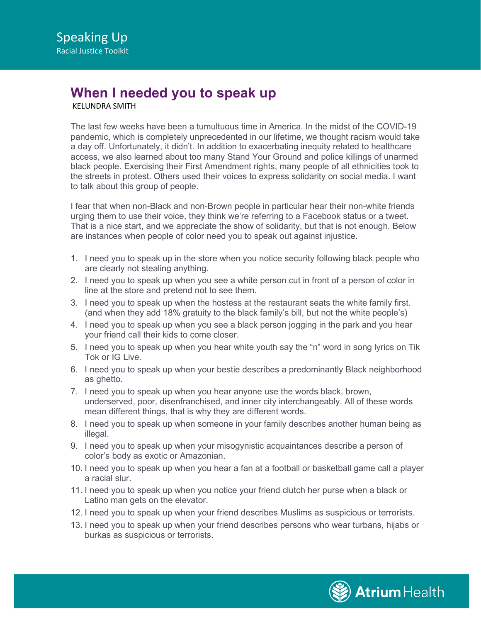## **When I needed you to speak up**

KELUNDRA SMITH

The last few weeks have been a tumultuous time in America. In the midst of the COVID-19 pandemic, which is completely unprecedented in our lifetime, we thought racism would take a day off. Unfortunately, it didn't. In addition to exacerbating inequity related to healthcare access, we also learned about too many Stand Your Ground and police killings of unarmed black people. Exercising their First Amendment rights, many people of all ethnicities took to the streets in protest. Others used their voices to express solidarity on social media. I want to talk about this group of people.

I fear that when non-Black and non-Brown people in particular hear their non-white friends urging them to use their voice, they think we're referring to a Facebook status or a tweet. That is a nice start, and we appreciate the show of solidarity, but that is not enough. Below are instances when people of color need you to speak out against injustice.

- 1. I need you to speak up in the store when you notice security following black people who are clearly not stealing anything.
- 2. I need you to speak up when you see a white person cut in front of a person of color in line at the store and pretend not to see them.
- 3. I need you to speak up when the hostess at the restaurant seats the white family first. (and when they add 18% gratuity to the black family's bill, but not the white people's)
- 4. I need you to speak up when you see a black person jogging in the park and you hear your friend call their kids to come closer.
- 5. I need you to speak up when you hear white youth say the "n" word in song lyrics on Tik Tok or IG Live.
- 6. I need you to speak up when your bestie describes a predominantly Black neighborhood as ghetto.
- 7. I need you to speak up when you hear anyone use the words black, brown, underserved, poor, disenfranchised, and inner city interchangeably. All of these words mean different things, that is why they are different words.
- 8. I need you to speak up when someone in your family describes another human being as illegal.
- 9. I need you to speak up when your misogynistic acquaintances describe a person of color's body as exotic or Amazonian.
- 10. I need you to speak up when you hear a fan at a football or basketball game call a player a racial slur.
- 11. I need you to speak up when you notice your friend clutch her purse when a black or Latino man gets on the elevator.
- 12. I need you to speak up when your friend describes Muslims as suspicious or terrorists.
- 13. I need you to speak up when your friend describes persons who wear turbans, hijabs or burkas as suspicious or terrorists.

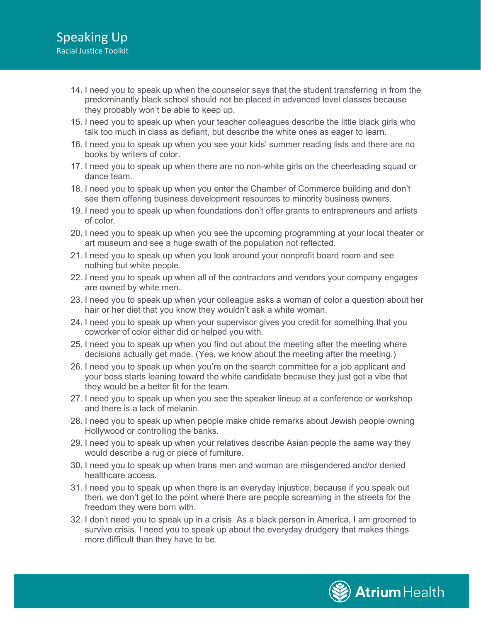- 14. I need you to speak up when the counselor says that the student transferring in from the predominantly black school should not be placed in advanced level classes because they probably won't be able to keep up.
- 15. I need you to speak up when your teacher colleagues describe the little black girls who talk too much in class as defiant, but describe the white ones as eager to learn.
- 16. I need you to speak up when you see your kids' summer reading lists and there are no books by writers of color.
- 17. I need you to speak up when there are no non-white girls on the cheerleading squad or dance team.
- 18. I need you to speak up when you enter the Chamber of Commerce building and don't see them offering business development resources to minority business owners.
- 19. I need you to speak up when foundations don't offer grants to entrepreneurs and artists of color.
- 20. I need you to speak up when you see the upcoming programming at your local theater or art museum and see a huge swath of the population not reflected.
- 21. I need you to speak up when you look around your nonprofit board room and see nothing but white people.
- 22. I need you to speak up when all of the contractors and vendors your company engages are owned by white men.
- 23. I need you to speak up when your colleague asks a woman of color a question about her hair or her diet that you know they wouldn't ask a white woman.
- 24. I need you to speak up when your supervisor gives you credit for something that you coworker of color either did or helped you with.
- 25. I need you to speak up when you find out about the meeting after the meeting where decisions actually get made. (Yes, we know about the meeting after the meeting.)
- 26. I need you to speak up when you're on the search committee for a job applicant and your boss starts leaning toward the white candidate because they just got a vibe that they would be a better fit for the team.
- 27. I need you to speak up when you see the speaker lineup at a conference or workshop and there is a lack of melanin.
- 28. I need you to speak up when people make chide remarks about Jewish people owning Hollywood or controlling the banks.
- 29. I need you to speak up when your relatives describe Asian people the same way they would describe a rug or piece of furniture.
- 30. I need you to speak up when trans men and woman are misgendered and/or denied healthcare access.
- 31. I need you to speak up when there is an everyday injustice, because if you speak out then, we don't get to the point where there are people screaming in the streets for the freedom they were born with.
- 32. I don't need you to speak up in a crisis. As a black person in America, I am groomed to survive crisis. I need you to speak up about the everyday drudgery that makes things more difficult than they have to be.